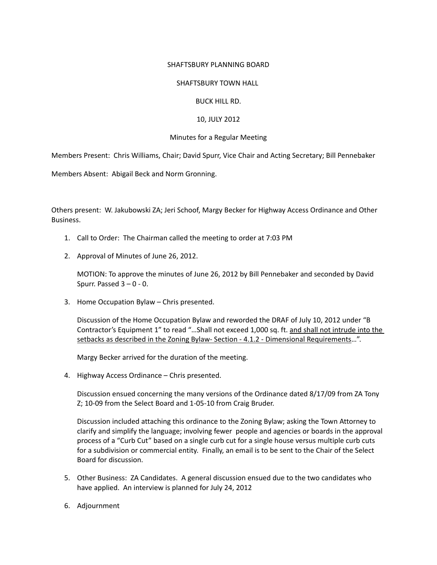### SHAFTSBURY PLANNING BOARD

### SHAFTSBURY TOWN HALL

## BUCK HILL RD.

# 10, JULY 2012

## Minutes for a Regular Meeting

Members Present: Chris Williams, Chair; David Spurr, Vice Chair and Acting Secretary; Bill Pennebaker

Members Absent: Abigail Beck and Norm Gronning.

Others present: W. Jakubowski ZA; Jeri Schoof, Margy Becker for Highway Access Ordinance and Other Business.

- 1. Call to Order: The Chairman called the meeting to order at 7:03 PM
- 2. Approval of Minutes of June 26, 2012.

MOTION: To approve the minutes of June 26, 2012 by Bill Pennebaker and seconded by David Spurr. Passed  $3 - 0 - 0$ .

3. Home Occupation Bylaw – Chris presented.

Discussion of the Home Occupation Bylaw and reworded the DRAF of July 10, 2012 under "B Contractor's Equipment 1" to read "…Shall not exceed 1,000 sq. ft. and shall not intrude into the setbacks as described in the Zoning Bylaw- Section - 4.1.2 - Dimensional Requirements...".

Margy Becker arrived for the duration of the meeting.

4. Highway Access Ordinance – Chris presented.

Discussion ensued concerning the many versions of the Ordinance dated 8/17/09 from ZA Tony Z; 10‐09 from the Select Board and 1‐05‐10 from Craig Bruder.

Discussion included attaching this ordinance to the Zoning Bylaw; asking the Town Attorney to clarify and simplify the language; involving fewer people and agencies or boards in the approval process of a "Curb Cut" based on a single curb cut for a single house versus multiple curb cuts for a subdivision or commercial entity. Finally, an email is to be sent to the Chair of the Select Board for discussion.

- 5. Other Business: ZA Candidates. A general discussion ensued due to the two candidates who have applied. An interview is planned for July 24, 2012
- 6. Adjournment